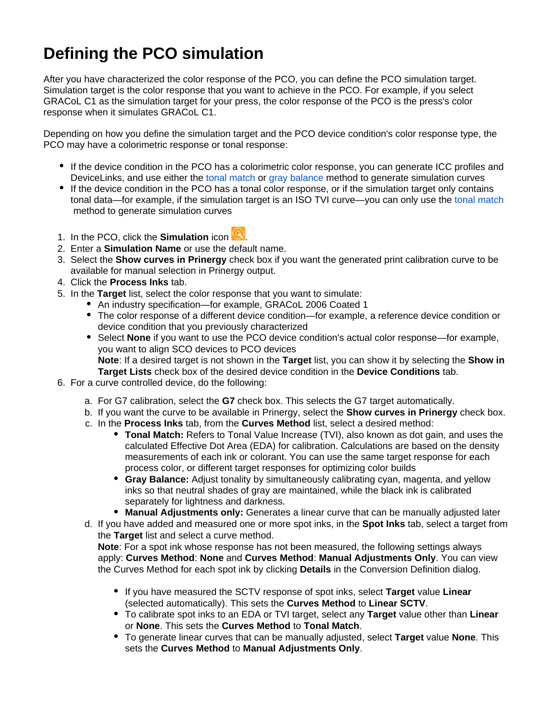## **Defining the PCO simulation**

After you have characterized the color response of the PCO, you can define the PCO simulation target. Simulation target is the color response that you want to achieve in the PCO. For example, if you select GRACoL C1 as the simulation target for your press, the color response of the PCO is the press's color response when it simulates GRACoL C1.

Depending on how you define the simulation target and the PCO device condition's color response type, the PCO may have a colorimetric response or tonal response:

- If the device condition in the PCO has a colorimetric color response, you can generate ICC profiles and DeviceLinks, and use either the [tonal match](https://workflowhelp.kodak.com/display/COLORFLOW83/tonal+match) or [gray balance](https://workflowhelp.kodak.com/display/COLORFLOW83/gray+balance) method to generate simulation curves
- If the device condition in the PCO has a tonal color response, or if the simulation target only contains tonal data—for example, if the simulation target is an ISO TVI curve—you can only use the [tonal match](https://workflowhelp.kodak.com/display/COLORFLOW83/tonal+match) method to generate simulation curves
- 1. In the PCO, click the **Simulation** icon **...**
- 2. Enter a **Simulation Name** or use the default name.
- 3. Select the **Show curves in Prinergy** check box if you want the generated print calibration curve to be available for manual selection in Prinergy output.
- 4. Click the **Process Inks** tab.
- 5. In the **Target** list, select the color response that you want to simulate:
	- An industry specification—for example, GRACoL 2006 Coated 1
	- The color response of a different device condition—for example, a reference device condition or device condition that you previously characterized
	- Select **None** if you want to use the PCO device condition's actual color response—for example, you want to align SCO devices to PCO devices **Note**: If a desired target is not shown in the **Target** list, you can show it by selecting the **Show in Target Lists** check box of the desired device condition in the **Device Conditions** tab.
- 6. For a curve controlled device, do the following:
	- a. For G7 calibration, select the **G7** check box. This selects the G7 target automatically.
	- b. If you want the curve to be available in Prinergy, select the **Show curves in Prinergy** check box.
	- c. In the **Process Inks** tab, from the **Curves Method** list, select a desired method:
		- **Tonal Match:** Refers to Tonal Value Increase (TVI), also known as dot gain, and uses the calculated Effective Dot Area (EDA) for calibration. Calculations are based on the density measurements of each ink or colorant. You can use the same target response for each process color, or different target responses for optimizing color builds
		- **Gray Balance:** Adjust tonality by simultaneously calibrating cyan, magenta, and yellow inks so that neutral shades of gray are maintained, while the black ink is calibrated separately for lightness and darkness.
		- **Manual Adjustments only:** Generates a linear curve that can be manually adjusted later
	- d. If you have added and measured one or more spot inks, in the **Spot Inks** tab, select a target from the **Target** list and select a curve method.

**Note**: For a spot ink whose response has not been measured, the following settings always apply: **Curves Method**: **None** and **Curves Method**: **Manual Adjustments Only**. You can view the Curves Method for each spot ink by clicking **Details** in the Conversion Definition dialog.

- If you have measured the SCTV response of spot inks, select **Target** value **Linear** (selected automatically). This sets the **Curves Method** to **Linear SCTV**.
- To calibrate spot inks to an EDA or TVI target, select any **Target** value other than **Linear** or **None**. This sets the **Curves Method** to **Tonal Match**.
- To generate linear curves that can be manually adjusted, select **Target** value **None**. This sets the **Curves Method** to **Manual Adjustments Only**.